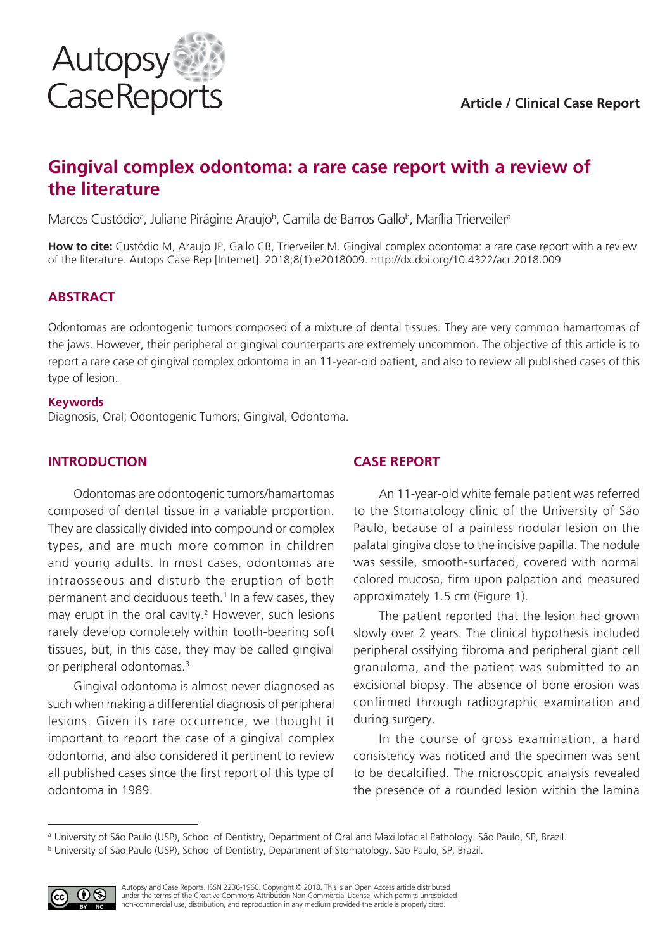

# **Gingival complex odontoma: a rare case report with a review of the literature**

Marcos Custódio<sup>a</sup>, Juliane Pirágine Araujo<sup>b</sup>, Camila de Barros Gallo<sup>b</sup>, Marília Trierveiler<sup>a</sup>

**How to cite:** Custódio M, Araujo JP, Gallo CB, Trierveiler M. Gingival complex odontoma: a rare case report with a review of the literature. Autops Case Rep [Internet]. 2018;8(1):e2018009. http://dx.doi.org/10.4322/acr.2018.009

## **ABSTRACT**

Odontomas are odontogenic tumors composed of a mixture of dental tissues. They are very common hamartomas of the jaws. However, their peripheral or gingival counterparts are extremely uncommon. The objective of this article is to report a rare case of gingival complex odontoma in an 11-year-old patient, and also to review all published cases of this type of lesion.

#### **Keywords**

Diagnosis, Oral; Odontogenic Tumors; Gingival, Odontoma.

#### **INTRODUCTION**

Odontomas are odontogenic tumors/hamartomas composed of dental tissue in a variable proportion. They are classically divided into compound or complex types, and are much more common in children and young adults. In most cases, odontomas are intraosseous and disturb the eruption of both permanent and deciduous teeth.<sup>1</sup> In a few cases, they may erupt in the oral cavity.<sup>2</sup> However, such lesions rarely develop completely within tooth-bearing soft tissues, but, in this case, they may be called gingival or peripheral odontomas.3

Gingival odontoma is almost never diagnosed as such when making a differential diagnosis of peripheral lesions. Given its rare occurrence, we thought it important to report the case of a gingival complex odontoma, and also considered it pertinent to review all published cases since the first report of this type of odontoma in 1989.

### **CASE REPORT**

An 11-year-old white female patient was referred to the Stomatology clinic of the University of São Paulo, because of a painless nodular lesion on the palatal gingiva close to the incisive papilla. The nodule was sessile, smooth-surfaced, covered with normal colored mucosa, firm upon palpation and measured approximately 1.5 cm (Figure 1).

The patient reported that the lesion had grown slowly over 2 years. The clinical hypothesis included peripheral ossifying fibroma and peripheral giant cell granuloma, and the patient was submitted to an excisional biopsy. The absence of bone erosion was confirmed through radiographic examination and during surgery.

In the course of gross examination, a hard consistency was noticed and the specimen was sent to be decalcified. The microscopic analysis revealed the presence of a rounded lesion within the lamina

<sup>b</sup> University of São Paulo (USP), School of Dentistry, Department of Stomatology. São Paulo, SP, Brazil.



a University of São Paulo (USP), School of Dentistry, Department of Oral and Maxillofacial Pathology. São Paulo, SP, Brazil.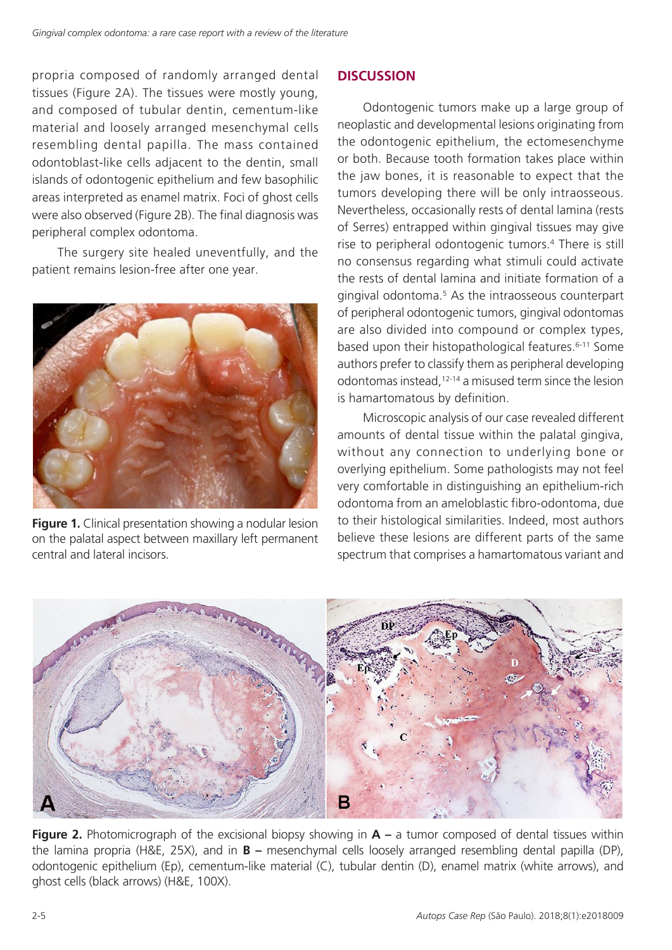propria composed of randomly arranged dental tissues (Figure 2A). The tissues were mostly young, and composed of tubular dentin, cementum-like material and loosely arranged mesenchymal cells resembling dental papilla. The mass contained odontoblast-like cells adjacent to the dentin, small islands of odontogenic epithelium and few basophilic areas interpreted as enamel matrix. Foci of ghost cells were also observed (Figure 2B). The final diagnosis was peripheral complex odontoma.

The surgery site healed uneventfully, and the patient remains lesion-free after one year.



**Figure 1.** Clinical presentation showing a nodular lesion on the palatal aspect between maxillary left permanent central and lateral incisors.

# **DISCUSSION**

Odontogenic tumors make up a large group of neoplastic and developmental lesions originating from the odontogenic epithelium, the ectomesenchyme or both. Because tooth formation takes place within the jaw bones, it is reasonable to expect that the tumors developing there will be only intraosseous. Nevertheless, occasionally rests of dental lamina (rests of Serres) entrapped within gingival tissues may give rise to peripheral odontogenic tumors.4 There is still no consensus regarding what stimuli could activate the rests of dental lamina and initiate formation of a gingival odontoma.5 As the intraosseous counterpart of peripheral odontogenic tumors, gingival odontomas are also divided into compound or complex types, based upon their histopathological features.<sup>6-11</sup> Some authors prefer to classify them as peripheral developing odontomas instead,12-14 a misused term since the lesion is hamartomatous by definition.

Microscopic analysis of our case revealed different amounts of dental tissue within the palatal gingiva, without any connection to underlying bone or overlying epithelium. Some pathologists may not feel very comfortable in distinguishing an epithelium-rich odontoma from an ameloblastic fibro-odontoma, due to their histological similarities. Indeed, most authors believe these lesions are different parts of the same spectrum that comprises a hamartomatous variant and



**Figure 2.** Photomicrograph of the excisional biopsy showing in  $A - a$  tumor composed of dental tissues within the lamina propria (H&E, 25X), and in **B –** mesenchymal cells loosely arranged resembling dental papilla (DP), odontogenic epithelium (Ep), cementum-like material (C), tubular dentin (D), enamel matrix (white arrows), and ghost cells (black arrows) (H&E, 100X).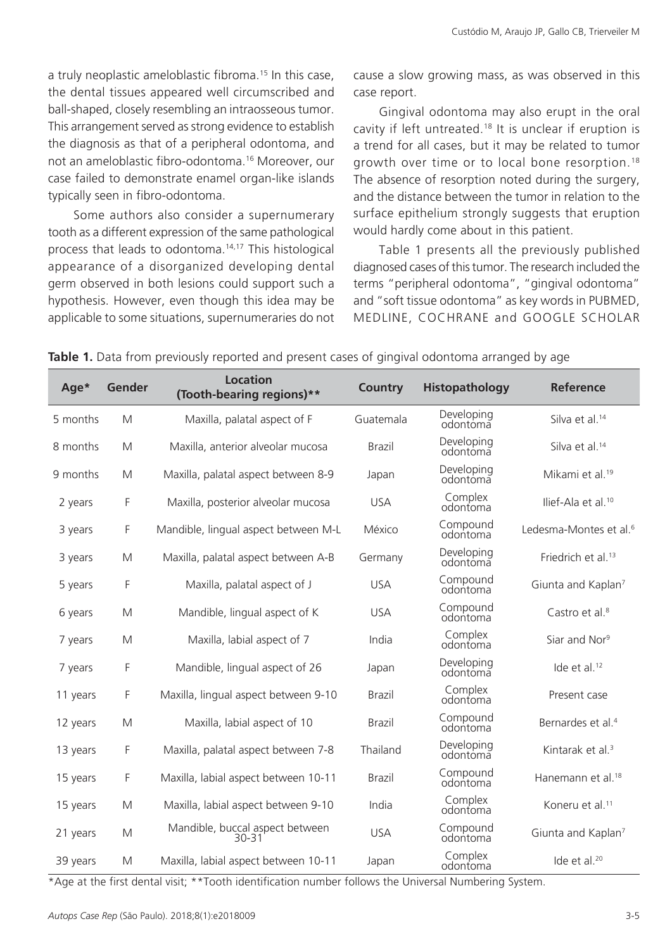a truly neoplastic ameloblastic fibroma.15 In this case, the dental tissues appeared well circumscribed and ball-shaped, closely resembling an intraosseous tumor. This arrangement served as strong evidence to establish the diagnosis as that of a peripheral odontoma, and not an ameloblastic fibro-odontoma.16 Moreover, our case failed to demonstrate enamel organ-like islands typically seen in fibro-odontoma.

Some authors also consider a supernumerary tooth as a different expression of the same pathological process that leads to odontoma.14,17 This histological appearance of a disorganized developing dental germ observed in both lesions could support such a hypothesis. However, even though this idea may be applicable to some situations, supernumeraries do not cause a slow growing mass, as was observed in this case report.

Gingival odontoma may also erupt in the oral cavity if left untreated.18 It is unclear if eruption is a trend for all cases, but it may be related to tumor growth over time or to local bone resorption.18 The absence of resorption noted during the surgery, and the distance between the tumor in relation to the surface epithelium strongly suggests that eruption would hardly come about in this patient.

Table 1 presents all the previously published diagnosed cases of this tumor. The research included the terms "peripheral odontoma", "gingival odontoma" and "soft tissue odontoma" as key words in PUBMED, MEDLINE, COCHRANE and GOOGLE SCHOLAR

| Age*     | Gender | <b>Location</b><br>(Tooth-bearing regions)** | <b>Country</b> | Histopathology         | <b>Reference</b>                   |
|----------|--------|----------------------------------------------|----------------|------------------------|------------------------------------|
| 5 months | M      | Maxilla, palatal aspect of F                 | Guatemala      | Developing<br>odontoma | Silva et al. <sup>14</sup>         |
| 8 months | M      | Maxilla, anterior alveolar mucosa            | <b>Brazil</b>  | Developing<br>odontoma | Silva et al. <sup>14</sup>         |
| 9 months | M      | Maxilla, palatal aspect between 8-9          | Japan          | Developing<br>odontoma | Mikami et al. <sup>19</sup>        |
| 2 years  | F      | Maxilla, posterior alveolar mucosa           | <b>USA</b>     | Complex<br>odontoma    | Ilief-Ala et al. <sup>10</sup>     |
| 3 years  | F      | Mandible, lingual aspect between M-L         | México         | Compound<br>odontoma   | Ledesma-Montes et al. <sup>6</sup> |
| 3 years  | M      | Maxilla, palatal aspect between A-B          | Germany        | Developing<br>odontoma | Friedrich et al. <sup>13</sup>     |
| 5 years  | F      | Maxilla, palatal aspect of J                 | <b>USA</b>     | Compound<br>odontoma   | Giunta and Kaplan <sup>7</sup>     |
| 6 years  | M      | Mandible, lingual aspect of K                | <b>USA</b>     | Compound<br>odontoma   | Castro et al. <sup>8</sup>         |
| 7 years  | M      | Maxilla, labial aspect of 7                  | India          | Complex<br>odontoma    | Siar and Nor <sup>9</sup>          |
| 7 years  | F      | Mandible, lingual aspect of 26               | Japan          | Developing<br>odontoma | Ide et al. <sup>12</sup>           |
| 11 years | F      | Maxilla, lingual aspect between 9-10         | <b>Brazil</b>  | Complex<br>odontoma    | Present case                       |
| 12 years | M      | Maxilla, labial aspect of 10                 | <b>Brazil</b>  | Compound<br>odontoma   | Bernardes et al. <sup>4</sup>      |
| 13 years | F      | Maxilla, palatal aspect between 7-8          | Thailand       | Developing<br>odontoma | Kintarak et al. <sup>3</sup>       |
| 15 years | F      | Maxilla, labial aspect between 10-11         | <b>Brazil</b>  | Compound<br>odontoma   | Hanemann et al. <sup>18</sup>      |
| 15 years | M      | Maxilla, labial aspect between 9-10          | India          | Complex<br>odontoma    | Koneru et al. <sup>11</sup>        |
| 21 years | M      | Mandible, buccal aspect between<br>$30 - 31$ | <b>USA</b>     | Compound<br>odontoma   | Giunta and Kaplan <sup>7</sup>     |
| 39 years | M      | Maxilla, labial aspect between 10-11         | Japan          | Complex<br>odontoma    | Ide et al. <sup>20</sup>           |

**Table 1.** Data from previously reported and present cases of gingival odontoma arranged by age

\*Age at the first dental visit; \*\*Tooth identification number follows the Universal Numbering System.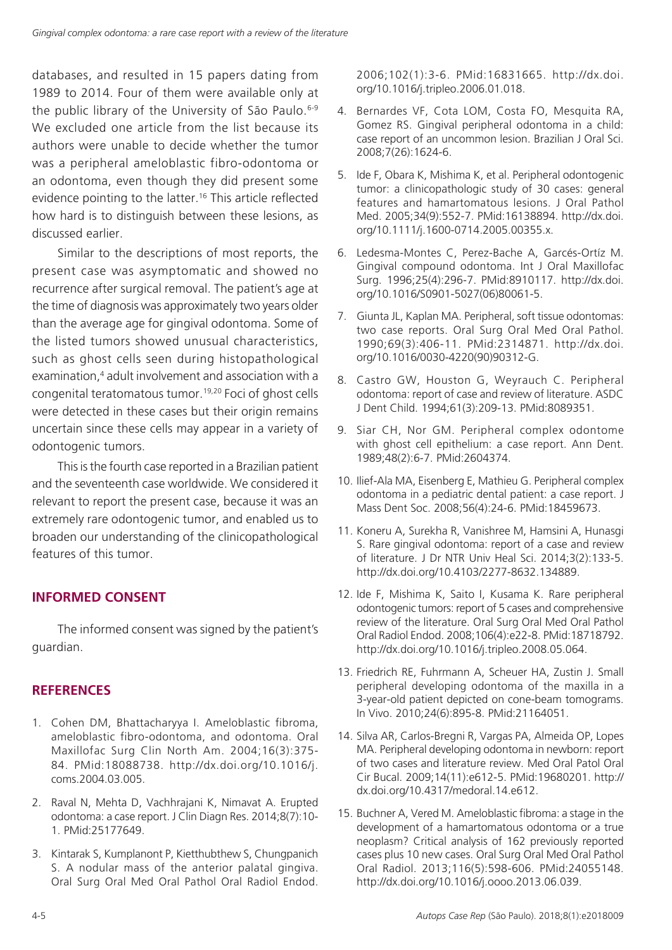databases, and resulted in 15 papers dating from 1989 to 2014. Four of them were available only at the public library of the University of São Paulo.<sup>6-9</sup> We excluded one article from the list because its authors were unable to decide whether the tumor was a peripheral ameloblastic fibro-odontoma or an odontoma, even though they did present some evidence pointing to the latter.16 This article reflected how hard is to distinguish between these lesions, as discussed earlier.

Similar to the descriptions of most reports, the present case was asymptomatic and showed no recurrence after surgical removal. The patient's age at the time of diagnosis was approximately two years older than the average age for gingival odontoma. Some of the listed tumors showed unusual characteristics, such as ghost cells seen during histopathological examination,<sup>4</sup> adult involvement and association with a congenital teratomatous tumor.19,20 Foci of ghost cells were detected in these cases but their origin remains uncertain since these cells may appear in a variety of odontogenic tumors.

This is the fourth case reported in a Brazilian patient and the seventeenth case worldwide. We considered it relevant to report the present case, because it was an extremely rare odontogenic tumor, and enabled us to broaden our understanding of the clinicopathological features of this tumor.

### **INFORMED CONSENT**

The informed consent was signed by the patient's guardian.

### **REFERENCES**

- 1. Cohen DM, Bhattacharyya I. Ameloblastic fibroma, ameloblastic fibro-odontoma, and odontoma. Oral Maxillofac Surg Clin North Am. 2004;16(3):375- 84. [PMid:18088738.](http://www.ncbi.nlm.nih.gov/entrez/query.fcgi?cmd=Retrieve&db=PubMed&list_uids=18088738&dopt=Abstract) [http://dx.doi.org/10.1016/j.](http://dx.doi.org/10.1016/j.coms.2004.03.005) [coms.2004.03.005.](http://dx.doi.org/10.1016/j.coms.2004.03.005)
- 2. Raval N, Mehta D, Vachhrajani K, Nimavat A. Erupted odontoma: a case report. J Clin Diagn Res. 2014;8(7):10- 1. [PMid:25177649.](http://www.ncbi.nlm.nih.gov/entrez/query.fcgi?cmd=Retrieve&db=PubMed&list_uids=25177649&dopt=Abstract)
- 3. Kintarak S, Kumplanont P, Kietthubthew S, Chungpanich S. A nodular mass of the anterior palatal gingiva. Oral Surg Oral Med Oral Pathol Oral Radiol Endod.

2006;102(1):3-6. [PMid:16831665.](http://www.ncbi.nlm.nih.gov/entrez/query.fcgi?cmd=Retrieve&db=PubMed&list_uids=16831665&dopt=Abstract) [http://dx.doi.](http://dx.doi.org/10.1016/j.tripleo.2006.01.018) [org/10.1016/j.tripleo.2006.01.018.](http://dx.doi.org/10.1016/j.tripleo.2006.01.018)

- 4. Bernardes VF, Cota LOM, Costa FO, Mesquita RA, Gomez RS. Gingival peripheral odontoma in a child: case report of an uncommon lesion. Brazilian J Oral Sci. 2008;7(26):1624-6.
- 5. Ide F, Obara K, Mishima K, et al. Peripheral odontogenic tumor: a clinicopathologic study of 30 cases: general features and hamartomatous lesions. J Oral Pathol Med. 2005;34(9):552-7[. PMid:16138894.](http://www.ncbi.nlm.nih.gov/entrez/query.fcgi?cmd=Retrieve&db=PubMed&list_uids=16138894&dopt=Abstract) [http://dx.doi.](http://dx.doi.org/10.1111/j.1600-0714.2005.00355.x) [org/10.1111/j.1600-0714.2005.00355.x.](http://dx.doi.org/10.1111/j.1600-0714.2005.00355.x)
- 6. Ledesma-Montes C, Perez-Bache A, Garcés-Ortíz M. Gingival compound odontoma. Int J Oral Maxillofac Surg. 1996;25(4):296-7[. PMid:8910117.](http://www.ncbi.nlm.nih.gov/entrez/query.fcgi?cmd=Retrieve&db=PubMed&list_uids=8910117&dopt=Abstract) [http://dx.doi.](http://dx.doi.org/10.1016/S0901-5027(06)80061-5) [org/10.1016/S0901-5027\(06\)80061-5](http://dx.doi.org/10.1016/S0901-5027(06)80061-5).
- 7. Giunta JL, Kaplan MA. Peripheral, soft tissue odontomas: two case reports. Oral Surg Oral Med Oral Pathol. 1990;69(3):406-11. [PMid:2314871.](http://www.ncbi.nlm.nih.gov/entrez/query.fcgi?cmd=Retrieve&db=PubMed&list_uids=2314871&dopt=Abstract) [http://dx.doi.](http://dx.doi.org/10.1016/0030-4220(90)90312-G) [org/10.1016/0030-4220\(90\)90312-G](http://dx.doi.org/10.1016/0030-4220(90)90312-G).
- 8. Castro GW, Houston G, Weyrauch C. Peripheral odontoma: report of case and review of literature. ASDC J Dent Child. 1994;61(3):209-13. [PMid:8089351.](http://www.ncbi.nlm.nih.gov/entrez/query.fcgi?cmd=Retrieve&db=PubMed&list_uids=8089351&dopt=Abstract)
- 9. Siar CH, Nor GM. Peripheral complex odontome with ghost cell epithelium: a case report. Ann Dent. 1989;48(2):6-7. [PMid:2604374.](http://www.ncbi.nlm.nih.gov/entrez/query.fcgi?cmd=Retrieve&db=PubMed&list_uids=2604374&dopt=Abstract)
- 10. Ilief-Ala MA, Eisenberg E, Mathieu G. Peripheral complex odontoma in a pediatric dental patient: a case report. J Mass Dent Soc. 2008;56(4):24-6. [PMid:18459673.](http://www.ncbi.nlm.nih.gov/entrez/query.fcgi?cmd=Retrieve&db=PubMed&list_uids=18459673&dopt=Abstract)
- 11. Koneru A, Surekha R, Vanishree M, Hamsini A, Hunasgi S. Rare gingival odontoma: report of a case and review of literature. J Dr NTR Univ Heal Sci. 2014;3(2):133-5. <http://dx.doi.org/10.4103/2277-8632.134889>.
- 12. Ide F, Mishima K, Saito I, Kusama K. Rare peripheral odontogenic tumors: report of 5 cases and comprehensive review of the literature. Oral Surg Oral Med Oral Pathol Oral Radiol Endod. 2008;106(4):e22-8[. PMid:18718792.](http://www.ncbi.nlm.nih.gov/entrez/query.fcgi?cmd=Retrieve&db=PubMed&list_uids=18718792&dopt=Abstract) [http://dx.doi.org/10.1016/j.tripleo.2008.05.064.](http://dx.doi.org/10.1016/j.tripleo.2008.05.064)
- 13. Friedrich RE, Fuhrmann A, Scheuer HA, Zustin J. Small peripheral developing odontoma of the maxilla in a 3-year-old patient depicted on cone-beam tomograms. In Vivo. 2010;24(6):895-8. [PMid:21164051.](http://www.ncbi.nlm.nih.gov/entrez/query.fcgi?cmd=Retrieve&db=PubMed&list_uids=21164051&dopt=Abstract)
- 14. Silva AR, Carlos-Bregni R, Vargas PA, Almeida OP, Lopes MA. Peripheral developing odontoma in newborn: report of two cases and literature review. Med Oral Patol Oral Cir Bucal. 2009;14(11):e612-5[. PMid:19680201.](http://www.ncbi.nlm.nih.gov/entrez/query.fcgi?cmd=Retrieve&db=PubMed&list_uids=19680201&dopt=Abstract) [http://](http://dx.doi.org/10.4317/medoral.14.e612) [dx.doi.org/10.4317/medoral.14.e612](http://dx.doi.org/10.4317/medoral.14.e612).
- 15. Buchner A, Vered M. Ameloblastic fibroma: a stage in the development of a hamartomatous odontoma or a true neoplasm? Critical analysis of 162 previously reported cases plus 10 new cases. Oral Surg Oral Med Oral Pathol Oral Radiol. 2013;116(5):598-606. [PMid:24055148.](http://www.ncbi.nlm.nih.gov/entrez/query.fcgi?cmd=Retrieve&db=PubMed&list_uids=24055148&dopt=Abstract) [http://dx.doi.org/10.1016/j.oooo.2013.06.039.](http://dx.doi.org/10.1016/j.oooo.2013.06.039)